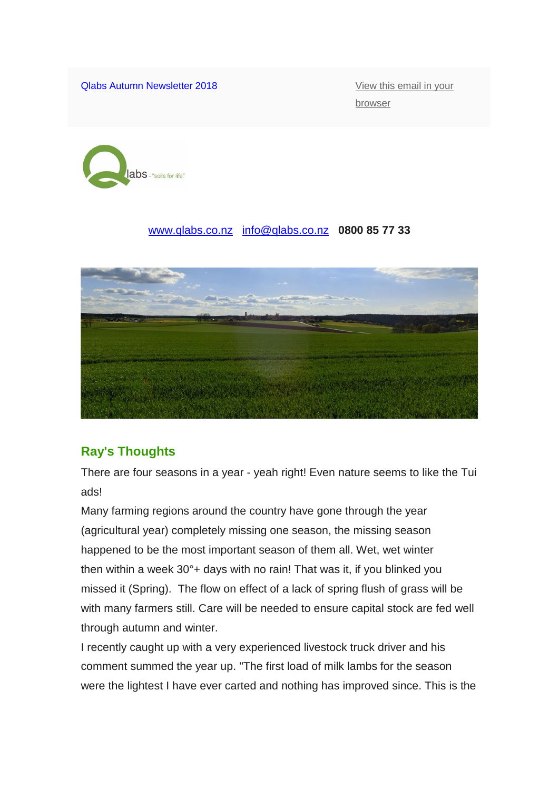Qlabs Autumn Newsletter 2018 **View this email in your** 

[browser](https://mailchi.mp/3f0095120f9e/qlabs-newsletter-autumn-2018?e=b2e265ced0)



#### [www.qlabs.co.nz](http://www.qlabs.co.nz/) [info@qlabs.co.nz](mailto:info@qlabs.co.nz) **0800 85 77 33**



### **Ray's Thoughts**

There are four seasons in a year - yeah right! Even nature seems to like the Tui ads!

Many farming regions around the country have gone through the year (agricultural year) completely missing one season, the missing season happened to be the most important season of them all. Wet, wet winter then within a week 30°+ days with no rain! That was it, if you blinked you missed it (Spring). The flow on effect of a lack of spring flush of grass will be with many farmers still. Care will be needed to ensure capital stock are fed well through autumn and winter.

I recently caught up with a very experienced livestock truck driver and his comment summed the year up. "The first load of milk lambs for the season were the lightest I have ever carted and nothing has improved since. This is the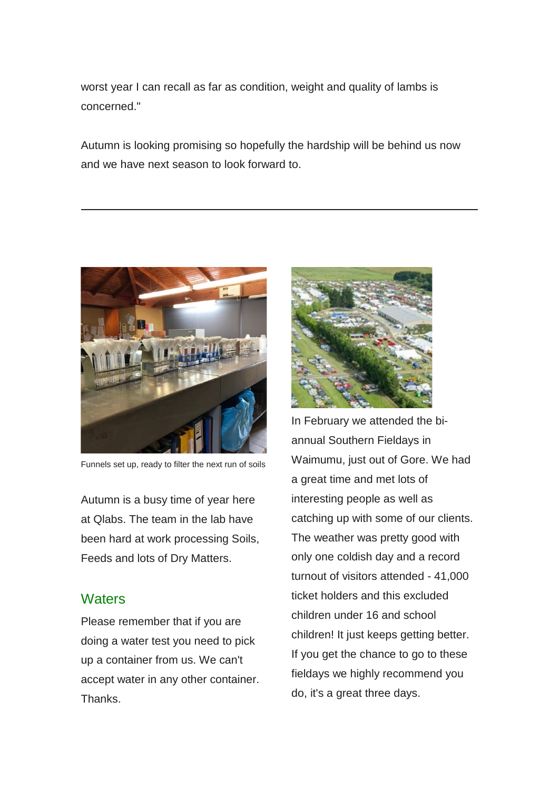worst year I can recall as far as condition, weight and quality of lambs is concerned."

Autumn is looking promising so hopefully the hardship will be behind us now and we have next season to look forward to.



Funnels set up, ready to filter the next run of soils

Autumn is a busy time of year here at Qlabs. The team in the lab have been hard at work processing Soils, Feeds and lots of Dry Matters.

### **Waters**

Please remember that if you are doing a water test you need to pick up a container from us. We can't accept water in any other container. **Thanks** 



In February we attended the biannual Southern Fieldays in Waimumu, just out of Gore. We had a great time and met lots of interesting people as well as catching up with some of our clients. The weather was pretty good with only one coldish day and a record turnout of visitors attended - 41,000 ticket holders and this excluded children under 16 and school children! It just keeps getting better. If you get the chance to go to these fieldays we highly recommend you do, it's a great three days.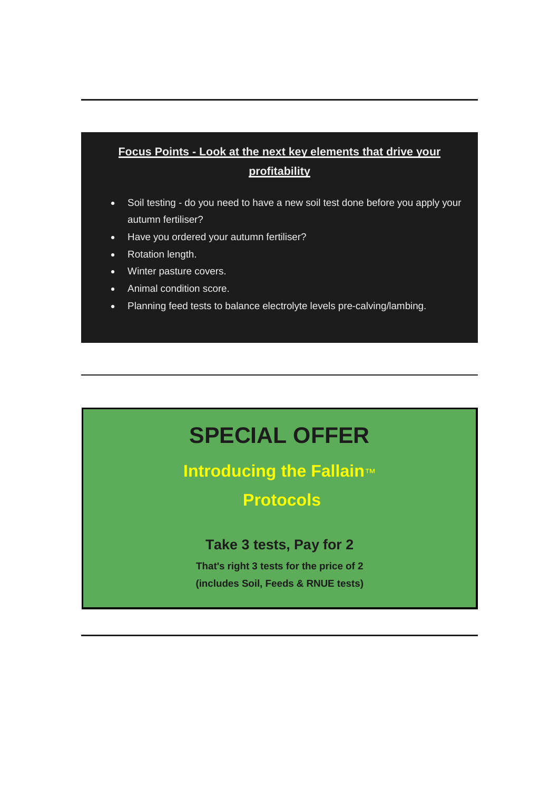# **Focus Points - Look at the next key elements that drive your profitability**

- Soil testing do you need to have a new soil test done before you apply your autumn fertiliser?
- Have you ordered your autumn fertiliser?
- Rotation length.
- Winter pasture covers.
- Animal condition score.
- Planning feed tests to balance electrolyte levels pre-calving/lambing.

# **SPECIAL OFFER**

# **Introducing the Fallain**™

# **Protocols**

### **Take 3 tests, Pay for 2**

**That's right 3 tests for the price of 2 (includes Soil, Feeds & RNUE tests)**